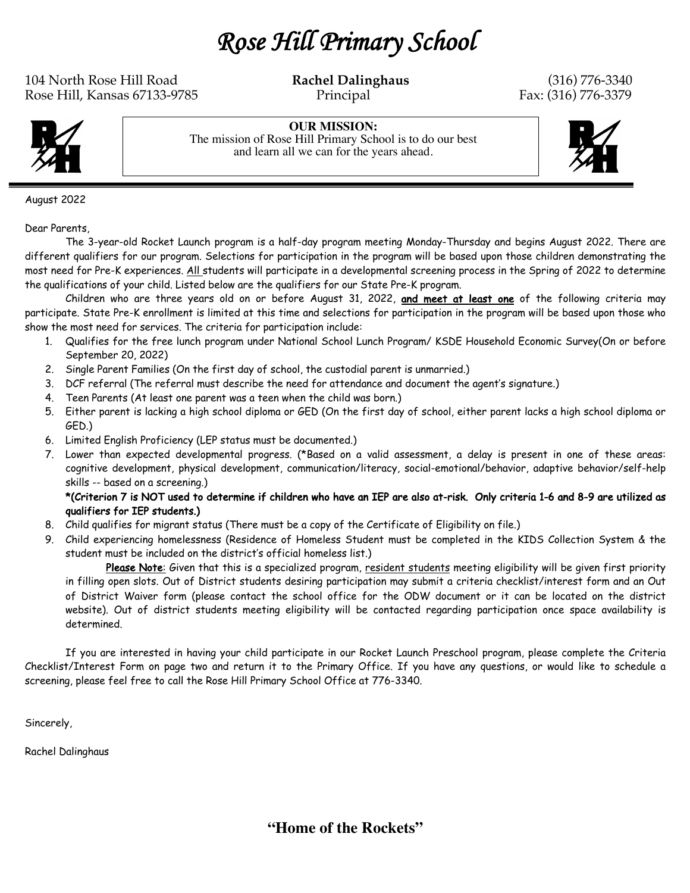*Rose Hill Primary School* 

104 North Rose Hill Road **Rachel Dalinghaus** (316) 776-3340 Rose Hill, Kansas 67133-9785 Principal Principal Fax: (316) 776-3379



**OUR MISSION:** The mission of Rose Hill Primary School is to do our best and learn all we can for the years ahead.



August 2022

Dear Parents,

The 3-year-old Rocket Launch program is a half-day program meeting Monday-Thursday and begins August 2022. There are different qualifiers for our program. Selections for participation in the program will be based upon those children demonstrating the most need for Pre-K experiences. All students will participate in a developmental screening process in the Spring of 2022 to determine the qualifications of your child. Listed below are the qualifiers for our State Pre-K program.

Children who are three years old on or before August 31, 2022, and meet at least one of the following criteria may participate. State Pre-K enrollment is limited at this time and selections for participation in the program will be based upon those who show the most need for services. The criteria for participation include:

- 1. Qualifies for the free lunch program under National School Lunch Program/ KSDE Household Economic Survey(On or before September 20, 2022)
- 2. Single Parent Families (On the first day of school, the custodial parent is unmarried.)
- 3. DCF referral (The referral must describe the need for attendance and document the agent's signature.)
- 4. Teen Parents (At least one parent was a teen when the child was born.)
- 5. Either parent is lacking a high school diploma or GED (On the first day of school, either parent lacks a high school diploma or GED.)
- 6. Limited English Proficiency (LEP status must be documented.)
- 7. Lower than expected developmental progress. (\*Based on a valid assessment, a delay is present in one of these areas: cognitive development, physical development, communication/literacy, social-emotional/behavior, adaptive behavior/self-help skills -- based on a screening.)

## \*(Criterion 7 is NOT used to determine if children who have an IEP are also at-risk. Only criteria 1-6 and 8-9 are utilized as qualifiers for IEP students.)

- 8. Child qualifies for migrant status (There must be a copy of the Certificate of Eligibility on file.)
- 9. Child experiencing homelessness (Residence of Homeless Student must be completed in the KIDS Collection System & the student must be included on the district's official homeless list.)

Please Note: Given that this is a specialized program, resident students meeting eligibility will be given first priority in filling open slots. Out of District students desiring participation may submit a criteria checklist/interest form and an Out of District Waiver form (please contact the school office for the ODW document or it can be located on the district website). Out of district students meeting eligibility will be contacted regarding participation once space availability is determined.

If you are interested in having your child participate in our Rocket Launch Preschool program, please complete the Criteria Checklist/Interest Form on page two and return it to the Primary Office. If you have any questions, or would like to schedule a screening, please feel free to call the Rose Hill Primary School Office at 776-3340.

Sincerely,

Rachel Dalinghaus